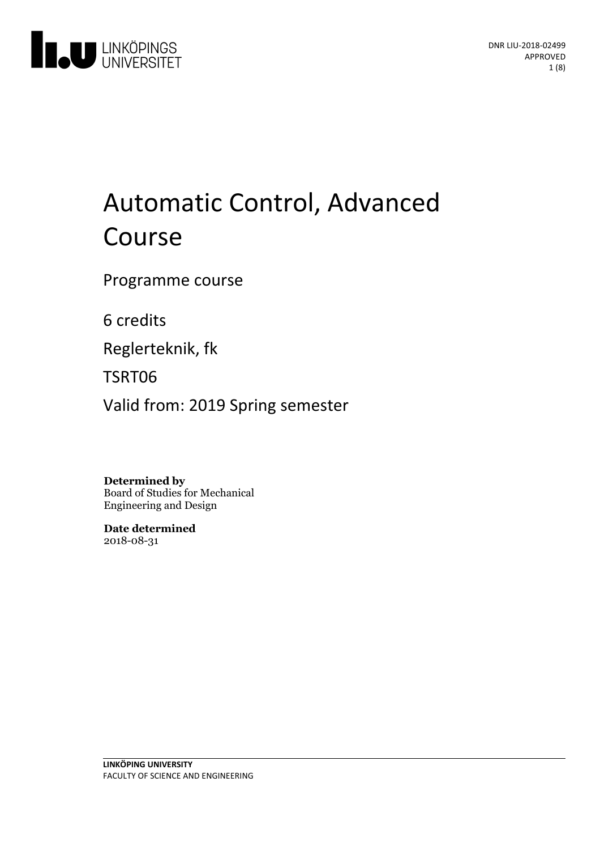

# Automatic Control, Advanced Course

Programme course

6 credits

Reglerteknik, fk

TSRT06

Valid from: 2019 Spring semester

**Determined by**

Board of Studies for Mechanical Engineering and Design

**Date determined** 2018-08-31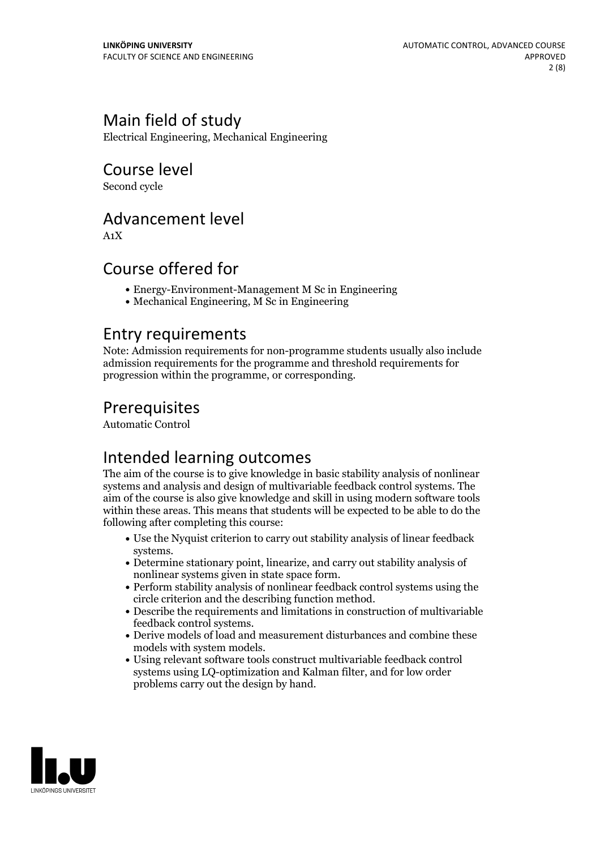### Main field of study

Electrical Engineering, Mechanical Engineering

Course level

Second cycle

### Advancement level

A1X

### Course offered for

- Energy-Environment-Management M Sc in Engineering
- Mechanical Engineering, M Sc in Engineering

### Entry requirements

Note: Admission requirements for non-programme students usually also include admission requirements for the programme and threshold requirements for progression within the programme, or corresponding.

### Prerequisites

Automatic Control

### Intended learning outcomes

The aim of the course is to give knowledge in basic stability analysis of nonlinear systems and analysis and design of multivariable feedback control systems. The aim of the course is also give knowledge and skillin using modern software tools within these areas. This means that students will be expected to be able to do the following after completing this course:

- Use the Nyquist criterion to carry out stability analysis of linear feedback systems.<br>• Determine stationary point, linearize, and carry out stability analysis of
- nonlinear systems given in state space form.<br>• Perform stability analysis of nonlinear feedback control systems using the
- circle criterion and the describing function method. Describe the requirements and limitations in construction of multivariable
- 
- feedback control systems.<br>• Derive models of load and measurement disturbances and combine these<br>models with system models.
- Using relevant software tools construct multivariable feedback control systems using LQ-optimization and Kalman filter, and for low order problems carry out the design by hand.

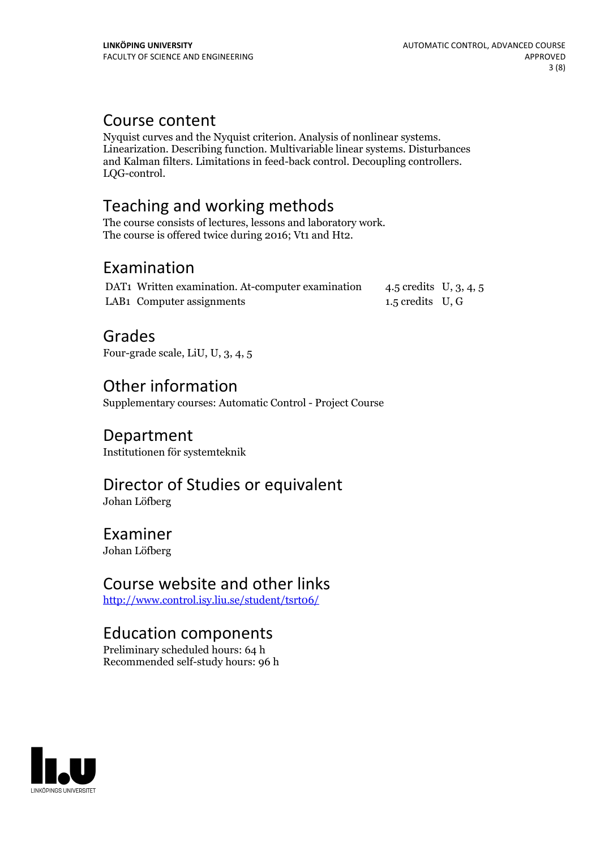Course content<br>Nyquist curves and the Nyquist criterion. Analysis of nonlinear systems. Linearization. Describing function. Multivariable linear systems. Disturbances and Kalman filters. Limitations in feed-back control. Decoupling controllers. LQG-control.

### Teaching and working methods

The course consists of lectures, lessons and laboratory work. The course is offered twice during 2016; Vt1 and Ht2.

### Examination

| DAT1 Written examination. At-computer examination | 4.5 credits U, 3, 4, 5 |  |
|---------------------------------------------------|------------------------|--|
| LAB1 Computer assignments                         | 1.5 credits U, G       |  |

### Grades

Four-grade scale, LiU, U, 3, 4, 5

### Other information

Supplementary courses: Automatic Control - Project Course

### Department

Institutionen för systemteknik

## Director of Studies or equivalent

Johan Löfberg

### Examiner

Johan Löfberg

### Course website and other links

<http://www.control.isy.liu.se/student/tsrt06/>

### Education components

Preliminary scheduled hours: 64 h Recommended self-study hours: 96 h

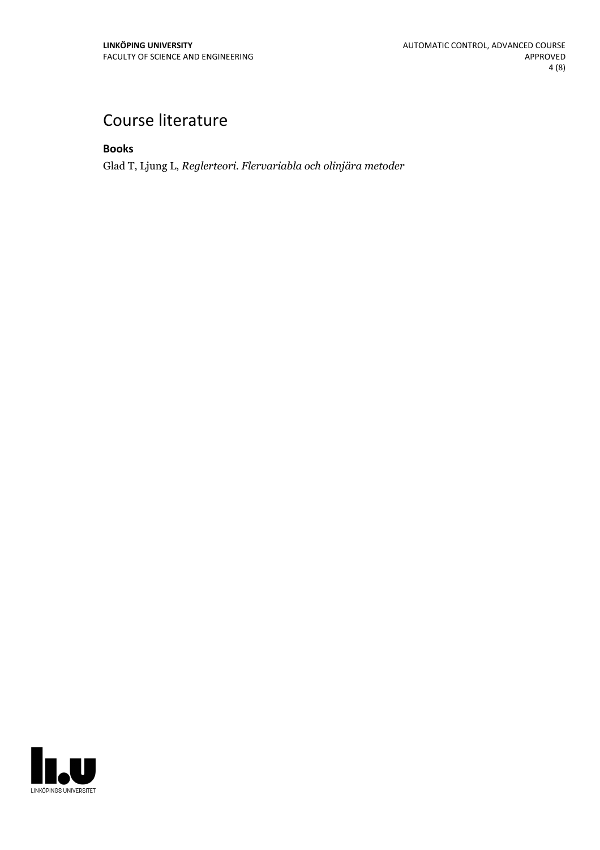### Course literature

**Books**

Glad T, Ljung L, *Reglerteori. Flervariabla och olinjära metoder*

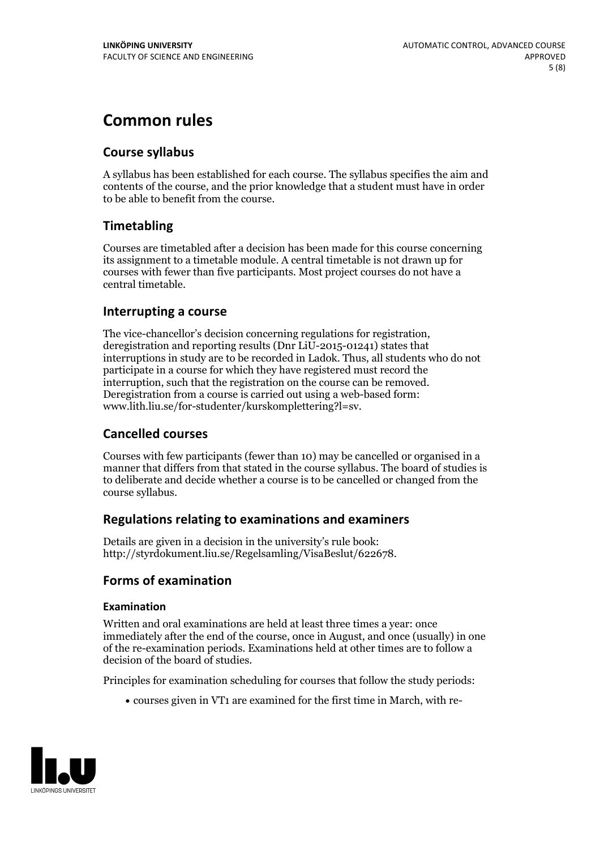### **Common rules**

#### **Course syllabus**

A syllabus has been established for each course. The syllabus specifies the aim and contents of the course, and the prior knowledge that a student must have in order to be able to benefit from the course.

### **Timetabling**

Courses are timetabled after a decision has been made for this course concerning its assignment to a timetable module. A central timetable is not drawn up for courses with fewer than five participants. Most project courses do not have a central timetable.

#### **Interrupting a course**

The vice-chancellor's decision concerning regulations for registration, deregistration and reporting results (Dnr LiU-2015-01241) states that interruptions in study are to be recorded in Ladok. Thus, all students who do not participate in a course for which they have registered must record the interruption, such that the registration on the course can be removed. Deregistration from <sup>a</sup> course is carried outusing <sup>a</sup> web-based form: www.lith.liu.se/for-studenter/kurskomplettering?l=sv.

#### **Cancelled courses**

Courses with few participants (fewer than 10) may be cancelled or organised in a manner that differs from that stated in the course syllabus. The board of studies is to deliberate and decide whether a course is to be cancelled orchanged from the course syllabus.

#### **Regulations relatingto examinations and examiners**

Details are given in a decision in the university's rule book: http://styrdokument.liu.se/Regelsamling/VisaBeslut/622678.

#### **Forms of examination**

#### **Examination**

Written and oral examinations are held at least three times a year: once immediately after the end of the course, once in August, and once (usually) in one of the re-examination periods. Examinations held at other times are to follow a decision of the board of studies.

Principles for examination scheduling for courses that follow the study periods:

courses given in VT1 are examined for the first time in March, with re-

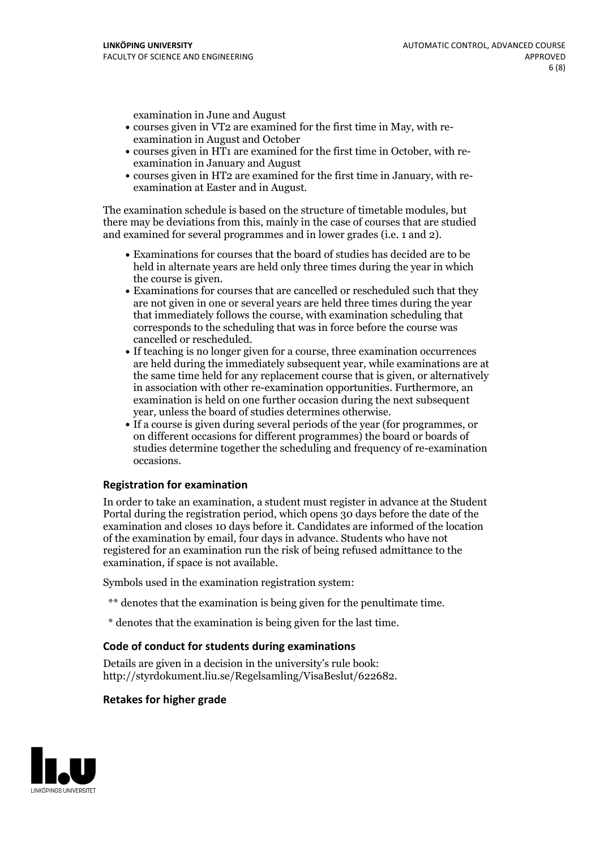examination in June and August

- courses given in VT2 are examined for the first time in May, with re-examination in August and October
- courses given in HT1 are examined for the first time in October, with re-examination in January and August
- courses given in HT2 are examined for the first time in January, with re-examination at Easter and in August.

The examination schedule is based on the structure of timetable modules, but there may be deviations from this, mainly in the case of courses that are studied and examined for several programmes and in lower grades (i.e. 1 and 2).

- Examinations for courses that the board of studies has decided are to be held in alternate years are held only three times during the year in which
- the course is given.<br>• Examinations for courses that are cancelled or rescheduled such that they are not given in one or several years are held three times during the year that immediately follows the course, with examination scheduling that corresponds to the scheduling that was in force before the course was cancelled or rescheduled.<br>• If teaching is no longer given for a course, three examination occurrences
- are held during the immediately subsequent year, while examinations are at the same time held for any replacement course that is given, or alternatively in association with other re-examination opportunities. Furthermore, an examination is held on one further occasion during the next subsequent year, unless the board of studies determines otherwise.<br>• If a course is given during several periods of the year (for programmes, or
- on different occasions for different programmes) the board orboards of studies determine together the scheduling and frequency of re-examination occasions.

#### **Registration for examination**

In order to take an examination, a student must register in advance at the Student Portal during the registration period, which opens 30 days before the date of the examination and closes 10 days before it. Candidates are informed of the location of the examination by email, four days in advance. Students who have not registered for an examination run the risk of being refused admittance to the examination, if space is not available.

Symbols used in the examination registration system:

- \*\* denotes that the examination is being given for the penultimate time.
- \* denotes that the examination is being given for the last time.

#### **Code of conduct for students during examinations**

Details are given in a decision in the university's rule book: http://styrdokument.liu.se/Regelsamling/VisaBeslut/622682.

#### **Retakes for higher grade**

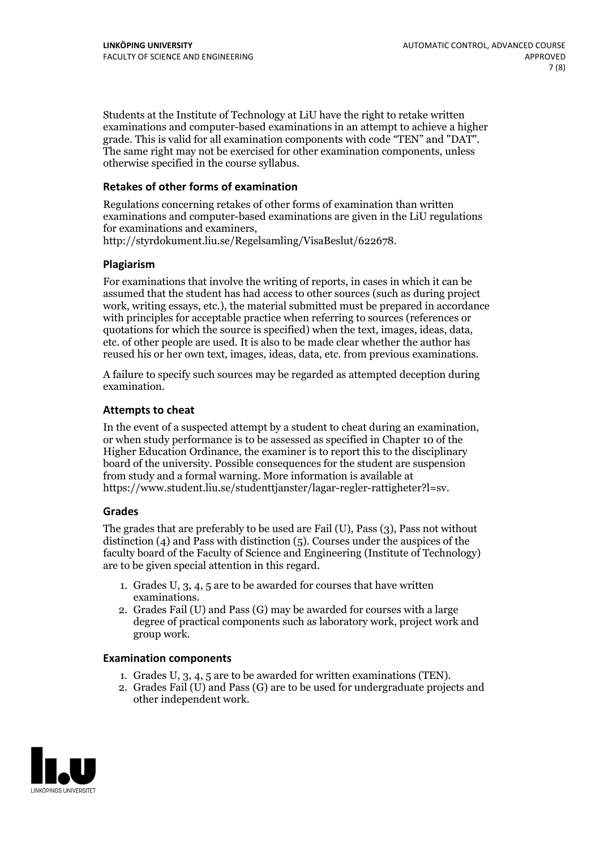Students at the Institute of Technology at LiU have the right to retake written examinations and computer-based examinations in an attempt to achieve a higher grade. This is valid for all examination components with code "TEN" and "DAT". The same right may not be exercised for other examination components, unless otherwise specified in the course syllabus.

#### **Retakes of other forms of examination**

Regulations concerning retakes of other forms of examination than written examinations and computer-based examinations are given in the LiU regulations

http://styrdokument.liu.se/Regelsamling/VisaBeslut/622678.

#### **Plagiarism**

For examinations that involve the writing of reports, in cases in which it can be assumed that the student has had access to other sources (such as during project work, writing essays, etc.), the material submitted must be prepared in accordance with principles for acceptable practice when referring to sources (references or quotations for which the source is specified) when the text, images, ideas, data, etc. of other people are used. It is also to be made clear whether the author has reused his or her own text, images, ideas, data, etc. from previous examinations.

A failure to specify such sources may be regarded as attempted deception during examination.

#### **Attempts to cheat**

In the event of <sup>a</sup> suspected attempt by <sup>a</sup> student to cheat during an examination, or when study performance is to be assessed as specified in Chapter <sup>10</sup> of the Higher Education Ordinance, the examiner is to report this to the disciplinary board of the university. Possible consequences for the student are suspension from study and a formal warning. More information is available at https://www.student.liu.se/studenttjanster/lagar-regler-rattigheter?l=sv.

#### **Grades**

The grades that are preferably to be used are Fail (U), Pass (3), Pass not without distinction  $(4)$  and Pass with distinction  $(5)$ . Courses under the auspices of the faculty board of the Faculty of Science and Engineering (Institute of Technology) are to be given special attention in this regard.

- 1. Grades U, 3, 4, 5 are to be awarded for courses that have written
- examinations. 2. Grades Fail (U) and Pass (G) may be awarded for courses with <sup>a</sup> large degree of practical components such as laboratory work, project work and group work.

#### **Examination components**

- 
- 1. Grades U, 3, 4, <sup>5</sup> are to be awarded for written examinations (TEN). 2. Grades Fail (U) and Pass (G) are to be used for undergraduate projects and other independent work.